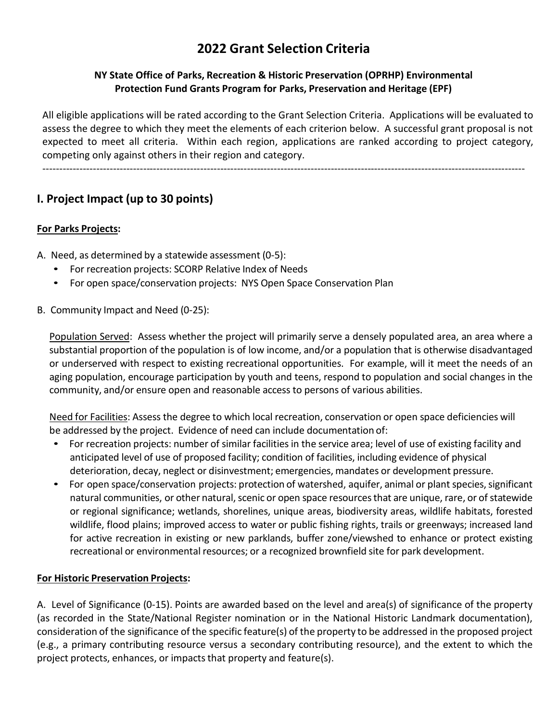# **2022 Grant Selection Criteria**

#### **NY State Office of Parks, Recreation & Historic Preservation (OPRHP) Environmental Protection Fund Grants Program for Parks, Preservation and Heritage (EPF)**

All eligible applications will be rated according to the Grant Selection Criteria. Applications will be evaluated to assess the degree to which they meet the elements of each criterion below. A successful grant proposal is not expected to meet all criteria. Within each region, applications are ranked according to project category, competing only against others in their region and category.

------------------------------------------------------------------------------------------------------------------------------------------------

# **I. Project Impact (up to 30 points)**

#### **For Parks Projects:**

- A. Need, as determined by a statewide assessment (0-5):
	- For recreation projects: SCORP Relative Index of Needs
	- For open space/conservation projects: NYS Open Space Conservation Plan
- B. Community Impact and Need (0-25):

Population Served: Assess whether the project will primarily serve a densely populated area, an area where a substantial proportion of the population is of low income, and/or a population that is otherwise disadvantaged or underserved with respect to existing recreational opportunities. For example, will it meet the needs of an aging population, encourage participation by youth and teens, respond to population and social changes in the community, and/or ensure open and reasonable access to persons of various abilities.

Need for Facilities: Assess the degree to which local recreation, conservation or open space deficiencies will be addressed by the project. Evidence of need can include documentation of:

- For recreation projects: number of similar facilities in the service area; level of use of existing facility and anticipated level of use of proposed facility; condition of facilities, including evidence of physical deterioration, decay, neglect or disinvestment; emergencies, mandates or development pressure.
- For open space/conservation projects: protection of watershed, aquifer, animal or plant species, significant natural communities, or other natural, scenic or open space resources that are unique, rare, or of statewide or regional significance; wetlands, shorelines, unique areas, biodiversity areas, wildlife habitats, forested wildlife, flood plains; improved access to water or public fishing rights, trails or greenways; increased land for active recreation in existing or new parklands, buffer zone/viewshed to enhance or protect existing recreational or environmental resources; or a recognized brownfield site for park development.

#### **For Historic Preservation Projects:**

A. Level of Significance (0-15). Points are awarded based on the level and area(s) of significance of the property (as recorded in the State/National Register nomination or in the National Historic Landmark documentation), consideration of the significance of the specific feature(s) of the property to be addressed in the proposed project (e.g., a primary contributing resource versus a secondary contributing resource), and the extent to which the project protects, enhances, or impacts that property and feature(s).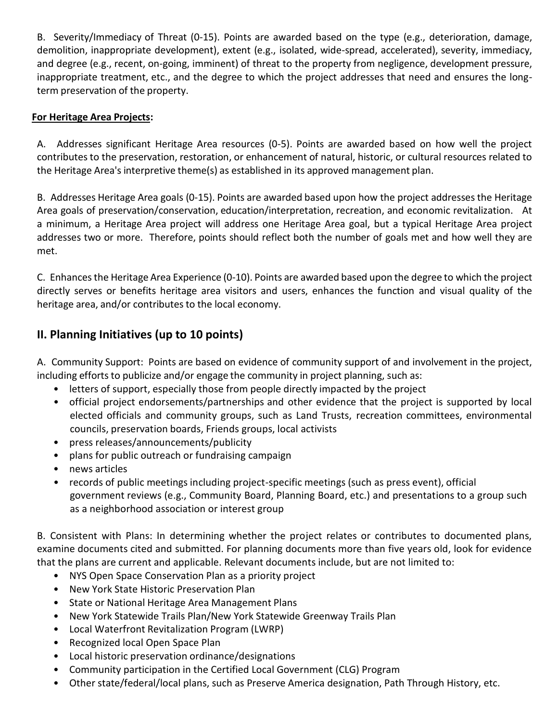B. Severity/Immediacy of Threat (0-15). Points are awarded based on the type (e.g., deterioration, damage, demolition, inappropriate development), extent (e.g., isolated, wide-spread, accelerated), severity, immediacy, and degree (e.g., recent, on-going, imminent) of threat to the property from negligence, development pressure, inappropriate treatment, etc., and the degree to which the project addresses that need and ensures the longterm preservation of the property.

#### **For Heritage Area Projects:**

A. Addresses significant Heritage Area resources (0-5). Points are awarded based on how well the project contributes to the preservation, restoration, or enhancement of natural, historic, or cultural resources related to the Heritage Area's interpretive theme(s) as established in its approved management plan.

B. Addresses Heritage Area goals (0-15). Points are awarded based upon how the project addressesthe Heritage Area goals of preservation/conservation, education/interpretation, recreation, and economic revitalization. At a minimum, a Heritage Area project will address one Heritage Area goal, but a typical Heritage Area project addresses two or more. Therefore, points should reflect both the number of goals met and how well they are met.

C. Enhancesthe Heritage Area Experience (0-10). Points are awarded based upon the degree to which the project directly serves or benefits heritage area visitors and users, enhances the function and visual quality of the heritage area, and/or contributes to the local economy.

# **II. Planning Initiatives (up to 10 points)**

A. Community Support: Points are based on evidence of community support of and involvement in the project, including efforts to publicize and/or engage the community in project planning, such as:

- letters of support, especially those from people directly impacted by the project
- official project endorsements/partnerships and other evidence that the project is supported by local elected officials and community groups, such as Land Trusts, recreation committees, environmental councils, preservation boards, Friends groups, local activists
- press releases/announcements/publicity
- plans for public outreach or fundraising campaign
- news articles
- records of public meetings including project-specific meetings (such as press event), official government reviews (e.g., Community Board, Planning Board, etc.) and presentations to a group such as a neighborhood association or interest group

B. Consistent with Plans: In determining whether the project relates or contributes to documented plans, examine documents cited and submitted. For planning documents more than five years old, look for evidence that the plans are current and applicable. Relevant documents include, but are not limited to:

- NYS Open Space Conservation Plan as a priority project
- New York State Historic Preservation Plan
- State or National Heritage Area Management Plans
- New York Statewide Trails Plan/New York Statewide Greenway Trails Plan
- Local Waterfront Revitalization Program (LWRP)
- Recognized local Open Space Plan
- Local historic preservation ordinance/designations
- Community participation in the Certified Local Government (CLG) Program
- Other state/federal/local plans, such as Preserve America designation, Path Through History, etc.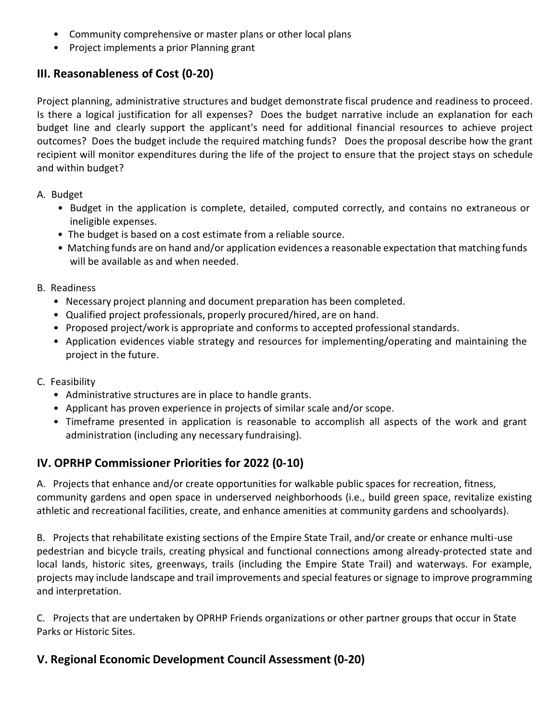- Community comprehensive or master plans or other local plans
- Project implements a prior Planning grant

### **III. Reasonableness of Cost (0-20)**

Project planning, administrative structures and budget demonstrate fiscal prudence and readiness to proceed. Is there a logical justification for all expenses? Does the budget narrative include an explanation for each budget line and clearly support the applicant's need for additional financial resources to achieve project outcomes? Does the budget include the required matching funds? Does the proposal describe how the grant recipient will monitor expenditures during the life of the project to ensure that the project stays on schedule and within budget?

#### A. Budget

- Budget in the application is complete, detailed, computed correctly, and contains no extraneous or ineligible expenses.
- The budget is based on a cost estimate from a reliable source.
- Matching funds are on hand and/or application evidences a reasonable expectation that matching funds will be available as and when needed.

#### B. Readiness

- Necessary project planning and document preparation has been completed.
- Qualified project professionals, properly procured/hired, are on hand.
- Proposed project/work is appropriate and conforms to accepted professional standards.
- Application evidences viable strategy and resources for implementing/operating and maintaining the project in the future.
- C. Feasibility
	- Administrative structures are in place to handle grants.
	- Applicant has proven experience in projects of similar scale and/or scope.
	- Timeframe presented in application is reasonable to accomplish all aspects of the work and grant administration (including any necessary fundraising).

### **IV. OPRHP Commissioner Priorities for 2022 (0-10)**

A. Projects that enhance and/or create opportunities for walkable public spaces for recreation, fitness, community gardens and open space in underserved neighborhoods (i.e., build green space, revitalize existing athletic and recreational facilities, create, and enhance amenities at community gardens and schoolyards).

B. Projects that rehabilitate existing sections of the Empire State Trail, and/or create or enhance multi-use pedestrian and bicycle trails, creating physical and functional connections among already-protected state and local lands, historic sites, greenways, trails (including the Empire State Trail) and waterways. For example, projects may include landscape and trail improvements and special features or signage to improve programming and interpretation.

C. Projects that are undertaken by OPRHP Friends organizations or other partner groups that occur in State Parks or Historic Sites.

# **V. Regional Economic Development Council Assessment (0-20)**